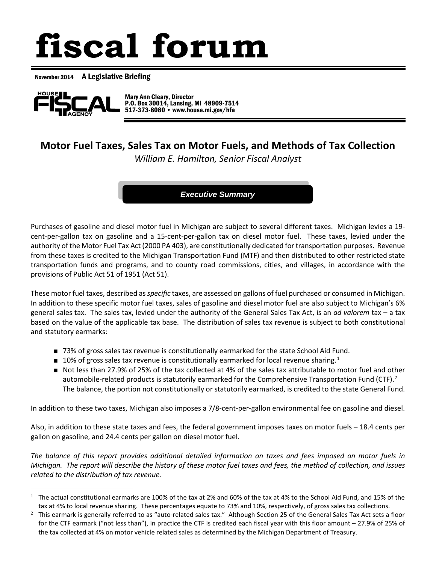# **fiscal forum**

November 2014 A Legislative Briefing



 $\overline{a}$ 

 Mary Ann Cleary, Director P.O. Box 30014, Lansing, MI 48909-7514 517-373-8080 • www.house.mi.gov/hfa

# **Motor Fuel Taxes, Sales Tax on Motor Fuels, and Methods of Tax Collection**

*William E. Hamilton, Senior Fiscal Analyst*

*Executive Summary*

Purchases of gasoline and diesel motor fuel in Michigan are subject to several different taxes. Michigan levies a 19 cent-per-gallon tax on gasoline and a 15-cent-per-gallon tax on diesel motor fuel. These taxes, levied under the authority of the Motor Fuel Tax Act (2000 PA 403), are constitutionally dedicated for transportation purposes. Revenue from these taxes is credited to the Michigan Transportation Fund (MTF) and then distributed to other restricted state transportation funds and programs, and to county road commissions, cities, and villages, in accordance with the provisions of Public Act 51 of 1951 (Act 51).

These motor fuel taxes, described as *specific* taxes, are assessed on gallons of fuel purchased or consumed in Michigan. In addition to these specific motor fuel taxes, sales of gasoline and diesel motor fuel are also subject to Michigan's 6% general sales tax. The sales tax, levied under the authority of the General Sales Tax Act, is an *ad valorem* tax – a tax based on the value of the applicable tax base. The distribution of sales tax revenue is subject to both constitutional and statutory earmarks:

- 73% of gross sales tax revenue is constitutionally earmarked for the state School Aid Fund.
- **[1](#page-0-0)0% of gross sales tax revenue is constitutionally earmarked for local revenue sharing.**<sup>1</sup>
- Not less than 27.9% of 25% of the tax collected at 4% of the sales tax attributable to motor fuel and other automobile-related products is statutorily earmarked for the Comprehensive Transportation Fund (CTF).<sup>[2](#page-0-1)</sup> The balance, the portion not constitutionally or statutorily earmarked, is credited to the state General Fund.

In addition to these two taxes, Michigan also imposes a 7/8-cent-per-gallon environmental fee on gasoline and diesel.

Also, in addition to these state taxes and fees, the federal government imposes taxes on motor fuels – 18.4 cents per gallon on gasoline, and 24.4 cents per gallon on diesel motor fuel.

*The balance of this report provides additional detailed information on taxes and fees imposed on motor fuels in Michigan. The report will describe the history of these motor fuel taxes and fees, the method of collection, and issues related to the distribution of tax revenue.*

<span id="page-0-0"></span> $1$  The actual constitutional earmarks are 100% of the tax at 2% and 60% of the tax at 4% to the School Aid Fund, and 15% of the tax at 4% to local revenue sharing. These percentages equate to 73% and 10%, respectively, of gross sales tax collections.

<span id="page-0-1"></span> $2$  This earmark is generally referred to as "auto-related sales tax." Although Section 25 of the General Sales Tax Act sets a floor for the CTF earmark ("not less than"), in practice the CTF is credited each fiscal year with this floor amount – 27.9% of 25% of the tax collected at 4% on motor vehicle related sales as determined by the Michigan Department of Treasury.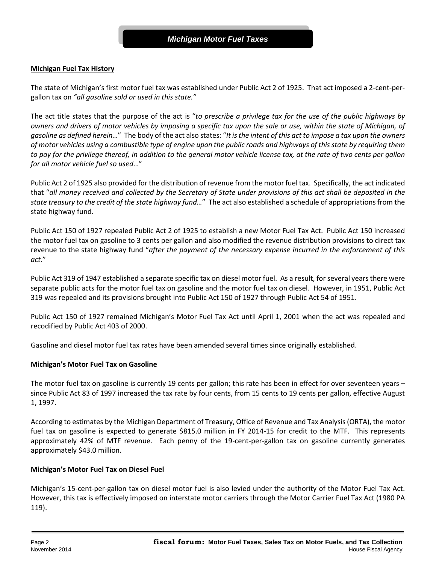## **Michigan Fuel Tax History**

The state of Michigan's first motor fuel tax was established under Public Act 2 of 1925. That act imposed a 2-cent-pergallon tax on *"all gasoline sold or used in this state."*

The act title states that the purpose of the act is "*to prescribe a privilege tax for the use of the public highways by owners and drivers of motor vehicles by imposing a specific tax upon the sale or use, within the state of Michigan, of gasoline as defined herein…*" The body of the act also states: "*It is the intent of this act to impose a tax upon the owners of motor vehicles using a combustible type of engine upon the public roads and highways of this state by requiring them to pay for the privilege thereof, in addition to the general motor vehicle license tax, at the rate of two cents per gallon for all motor vehicle fuel so used*…"

Public Act 2 of 1925 also provided for the distribution of revenue from the motor fuel tax. Specifically, the act indicated that "*all money received and collected by the Secretary of State under provisions of this act shall be deposited in the state treasury to the credit of the state highway fund…*" The act also established a schedule of appropriations from the state highway fund.

Public Act 150 of 1927 repealed Public Act 2 of 1925 to establish a new Motor Fuel Tax Act. Public Act 150 increased the motor fuel tax on gasoline to 3 cents per gallon and also modified the revenue distribution provisions to direct tax revenue to the state highway fund "*after the payment of the necessary expense incurred in the enforcement of this act*."

Public Act 319 of 1947 established a separate specific tax on diesel motor fuel. As a result, for several years there were separate public acts for the motor fuel tax on gasoline and the motor fuel tax on diesel. However, in 1951, Public Act 319 was repealed and its provisions brought into Public Act 150 of 1927 through Public Act 54 of 1951.

Public Act 150 of 1927 remained Michigan's Motor Fuel Tax Act until April 1, 2001 when the act was repealed and recodified by Public Act 403 of 2000.

Gasoline and diesel motor fuel tax rates have been amended several times since originally established.

#### **Michigan's Motor Fuel Tax on Gasoline**

The motor fuel tax on gasoline is currently 19 cents per gallon; this rate has been in effect for over seventeen years since Public Act 83 of 1997 increased the tax rate by four cents, from 15 cents to 19 cents per gallon, effective August 1, 1997.

According to estimates by the Michigan Department of Treasury, Office of Revenue and Tax Analysis (ORTA), the motor fuel tax on gasoline is expected to generate \$815.0 million in FY 2014-15 for credit to the MTF. This represents approximately 42% of MTF revenue. Each penny of the 19-cent-per-gallon tax on gasoline currently generates approximately \$43.0 million.

#### **Michigan's Motor Fuel Tax on Diesel Fuel**

Michigan's 15-cent-per-gallon tax on diesel motor fuel is also levied under the authority of the Motor Fuel Tax Act. However, this tax is effectively imposed on interstate motor carriers through the Motor Carrier Fuel Tax Act (1980 PA 119).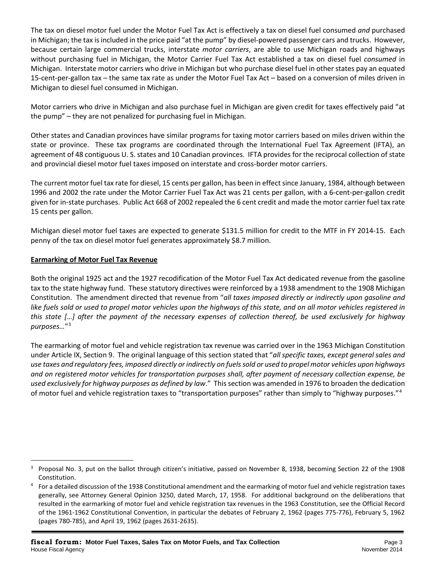The tax on diesel motor fuel under the Motor Fuel Tax Act is effectively a tax on diesel fuel consumed *and* purchased in Michigan; the tax is included in the price paid "at the pump" by diesel-powered passenger cars and trucks. However, because certain large commercial trucks, interstate *motor carriers*, are able to use Michigan roads and highways without purchasing fuel in Michigan, the Motor Carrier Fuel Tax Act established a tax on diesel fuel *consumed* in Michigan. Interstate motor carriers who drive in Michigan but who purchase diesel fuel in other states pay an equated 15-cent-per-gallon tax – the same tax rate as under the Motor Fuel Tax Act – based on a conversion of miles driven in Michigan to diesel fuel consumed in Michigan.

Motor carriers who drive in Michigan and also purchase fuel in Michigan are given credit for taxes effectively paid "at the pump" – they are not penalized for purchasing fuel in Michigan.

Other states and Canadian provinces have similar programs for taxing motor carriers based on miles driven within the state or province. These tax programs are coordinated through the International Fuel Tax Agreement (IFTA), an agreement of 48 contiguous U. S. states and 10 Canadian provinces. IFTA provides for the reciprocal collection of state and provincial diesel motor fuel taxes imposed on interstate and cross-border motor carriers.

The current motor fuel tax rate for diesel, 15 cents per gallon, has been in effect since January, 1984, although between 1996 and 2002 the rate under the Motor Carrier Fuel Tax Act was 21 cents per gallon, with a 6-cent-per-gallon credit given for in-state purchases. Public Act 668 of 2002 repealed the 6 cent credit and made the motor carrier fuel tax rate 15 cents per gallon.

Michigan diesel motor fuel taxes are expected to generate \$131.5 million for credit to the MTF in FY 2014-15. Each penny of the tax on diesel motor fuel generates approximately \$8.7 million.

# **Earmarking of Motor Fuel Tax Revenue**

 $\overline{a}$ 

Both the original 1925 act and the 1927 recodification of the Motor Fuel Tax Act dedicated revenue from the gasoline tax to the state highway fund. These statutory directives were reinforced by a 1938 amendment to the 1908 Michigan Constitution. The amendment directed that revenue from "*all taxes imposed directly or indirectly upon gasoline and like fuels sold or used to propel motor vehicles upon the highways of this state, and on all motor vehicles registered in this state […] after the payment of the necessary expenses of collection thereof, be used exclusively for highway purposes…*"[3](#page-2-0)

The earmarking of motor fuel and vehicle registration tax revenue was carried over in the 1963 Michigan Constitution under Article IX, Section 9. The original language of this section stated that "*all specific taxes, except general sales and use taxes and regulatory fees, imposed directly or indirectly on fuels sold or used to propel motor vehicles upon highways and on registered motor vehicles for transportation purposes shall, after payment of necessary collection expense, be used exclusively for highway purposes as defined by law*." This section was amended in 1976 to broaden the dedication of motor fuel and vehicle registration taxes to "transportation purposes" rather than simply to "highway purposes."[4](#page-2-1)

<span id="page-2-0"></span><sup>&</sup>lt;sup>3</sup> Proposal No. 3, put on the ballot through citizen's initiative, passed on November 8, 1938, becoming Section 22 of the 1908 Constitution.

<span id="page-2-1"></span><sup>4</sup> For a detailed discussion of the 1938 Constitutional amendment and the earmarking of motor fuel and vehicle registration taxes generally, see Attorney General Opinion 3250, dated March, 17, 1958. For additional background on the deliberations that resulted in the earmarking of motor fuel and vehicle registration tax revenues in the 1963 Constitution, see the Official Record of the 1961-1962 Constitutional Convention, in particular the debates of February 2, 1962 (pages 775-776), February 5, 1962 (pages 780-785), and April 19, 1962 (pages 2631-2635).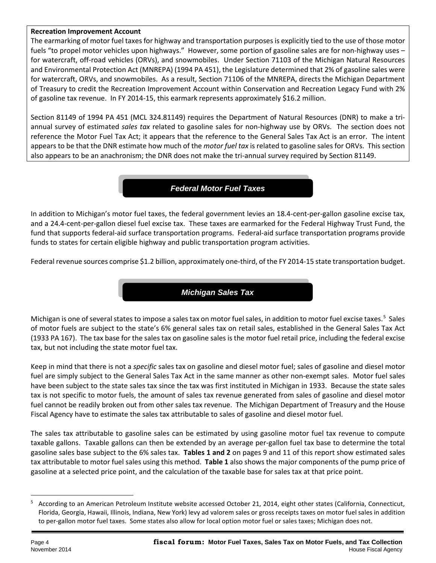### **Recreation Improvement Account**

The earmarking of motor fuel taxes for highway and transportation purposes is explicitly tied to the use of those motor fuels "to propel motor vehicles upon highways." However, some portion of gasoline sales are for non-highway uses – for watercraft, off-road vehicles (ORVs), and snowmobiles. Under Section 71103 of the Michigan Natural Resources and Environmental Protection Act (MNREPA) (1994 PA 451), the Legislature determined that 2% of gasoline sales were for watercraft, ORVs, and snowmobiles. As a result, Section 71106 of the MNREPA, directs the Michigan Department of Treasury to credit the Recreation Improvement Account within Conservation and Recreation Legacy Fund with 2% of gasoline tax revenue. In FY 2014-15, this earmark represents approximately \$16.2 million.

Section 81149 of 1994 PA 451 (MCL 324.81149) requires the Department of Natural Resources (DNR) to make a triannual survey of estimated *sales tax* related to gasoline sales for non-highway use by ORVs. The section does not reference the Motor Fuel Tax Act; it appears that the reference to the General Sales Tax Act is an error. The intent appears to be that the DNR estimate how much of the *motor fuel tax* is related to gasoline sales for ORVs. This section also appears to be an anachronism; the DNR does not make the tri-annual survey required by Section 81149.

# *Federal Motor Fuel Taxes*

In addition to Michigan's motor fuel taxes, the federal government levies an 18.4-cent-per-gallon gasoline excise tax, and a 24.4-cent-per-gallon diesel fuel excise tax. These taxes are earmarked for the Federal Highway Trust Fund, the fund that supports federal-aid surface transportation programs. Federal-aid surface transportation programs provide funds to states for certain eligible highway and public transportation program activities.

Federal revenue sources comprise \$1.2 billion, approximately one-third, of the FY 2014-15 state transportation budget.

# *Michigan Sales Tax*

Michigan is one of several states to impose a sales tax on motor fuel sales, in addition to motor fuel excise taxes.<sup>[5](#page-3-0)</sup> Sales of motor fuels are subject to the state's 6% general sales tax on retail sales, established in the General Sales Tax Act (1933 PA 167). The tax base for the sales tax on gasoline sales is the motor fuel retail price, including the federal excise tax, but not including the state motor fuel tax.

Keep in mind that there is not a *specific* sales tax on gasoline and diesel motor fuel; sales of gasoline and diesel motor fuel are simply subject to the General Sales Tax Act in the same manner as other non-exempt sales. Motor fuel sales have been subject to the state sales tax since the tax was first instituted in Michigan in 1933. Because the state sales tax is not specific to motor fuels, the amount of sales tax revenue generated from sales of gasoline and diesel motor fuel cannot be readily broken out from other sales tax revenue. The Michigan Department of Treasury and the House Fiscal Agency have to estimate the sales tax attributable to sales of gasoline and diesel motor fuel.

The sales tax attributable to gasoline sales can be estimated by using gasoline motor fuel tax revenue to compute taxable gallons. Taxable gallons can then be extended by an average per-gallon fuel tax base to determine the total gasoline sales base subject to the 6% sales tax. **Tables 1 and 2** on pages 9 and 11 of this report show estimated sales tax attributable to motor fuel sales using this method. **Table 1** also shows the major components of the pump price of gasoline at a selected price point, and the calculation of the taxable base for sales tax at that price point.

<span id="page-3-0"></span><sup>&</sup>lt;sup>5</sup> According to an American Petroleum Institute website accessed October 21, 2014, eight other states (California, Connecticut, Florida, Georgia, Hawaii, Illinois, Indiana, New York) levy ad valorem sales or gross receipts taxes on motor fuel sales in addition to per-gallon motor fuel taxes. Some states also allow for local option motor fuel or sales taxes; Michigan does not.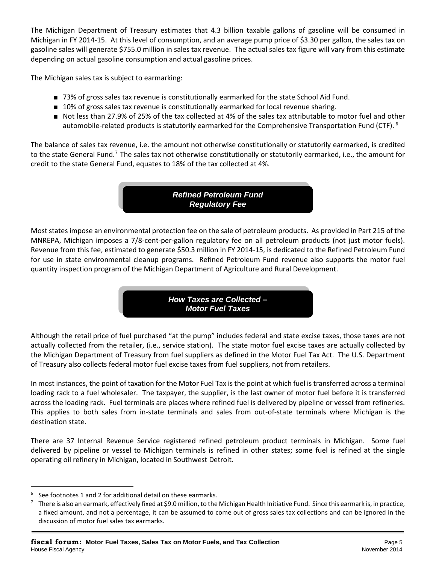The Michigan Department of Treasury estimates that 4.3 billion taxable gallons of gasoline will be consumed in Michigan in FY 2014-15. At this level of consumption, and an average pump price of \$3.30 per gallon, the sales tax on gasoline sales will generate \$755.0 million in sales tax revenue. The actual sales tax figure will vary from this estimate depending on actual gasoline consumption and actual gasoline prices.

The Michigan sales tax is subject to earmarking:

- 73% of gross sales tax revenue is constitutionally earmarked for the state School Aid Fund.
- 10% of gross sales tax revenue is constitutionally earmarked for local revenue sharing.
- Not less than 27.9% of 25% of the tax collected at 4% of the sales tax attributable to motor fuel and other automobile-related products is statutorily earmarked for the Comprehensive Transportation Fund (CTF). [6](#page-4-0)

The balance of sales tax revenue, i.e. the amount not otherwise constitutionally or statutorily earmarked, is credited to the state General Fund.<sup>[7](#page-4-1)</sup> The sales tax not otherwise constitutionally or statutorily earmarked, i.e., the amount for credit to the state General Fund, equates to 18% of the tax collected at 4%.

> *Refined Petroleum Fund Regulatory Fee*

Most states impose an environmental protection fee on the sale of petroleum products. As provided in Part 215 of the MNREPA, Michigan imposes a 7/8-cent-per-gallon regulatory fee on all petroleum products (not just motor fuels). Revenue from this fee, estimated to generate \$50.3 million in FY 2014-15, is dedicated to the Refined Petroleum Fund for use in state environmental cleanup programs. Refined Petroleum Fund revenue also supports the motor fuel quantity inspection program of the Michigan Department of Agriculture and Rural Development.

> *How Taxes are Collected – Motor Fuel Taxes*

Although the retail price of fuel purchased "at the pump" includes federal and state excise taxes, those taxes are not actually collected from the retailer, (i.e., service station). The state motor fuel excise taxes are actually collected by the Michigan Department of Treasury from fuel suppliers as defined in the Motor Fuel Tax Act. The U.S. Department of Treasury also collects federal motor fuel excise taxes from fuel suppliers, not from retailers.

In most instances, the point of taxation for the Motor Fuel Tax is the point at which fuel is transferred across a terminal loading rack to a fuel wholesaler. The taxpayer, the supplier, is the last owner of motor fuel before it is transferred across the loading rack. Fuel terminals are places where refined fuel is delivered by pipeline or vessel from refineries. This applies to both sales from in-state terminals and sales from out-of-state terminals where Michigan is the destination state.

There are 37 Internal Revenue Service registered refined petroleum product terminals in Michigan. Some fuel delivered by pipeline or vessel to Michigan terminals is refined in other states; some fuel is refined at the single operating oil refinery in Michigan, located in Southwest Detroit.

<span id="page-4-0"></span> $6$  See footnotes 1 and 2 for additional detail on these earmarks.

<span id="page-4-1"></span> $7$  There is also an earmark, effectively fixed at \$9.0 million, to the Michigan Health Initiative Fund. Since this earmark is, in practice, a fixed amount, and not a percentage, it can be assumed to come out of gross sales tax collections and can be ignored in the discussion of motor fuel sales tax earmarks.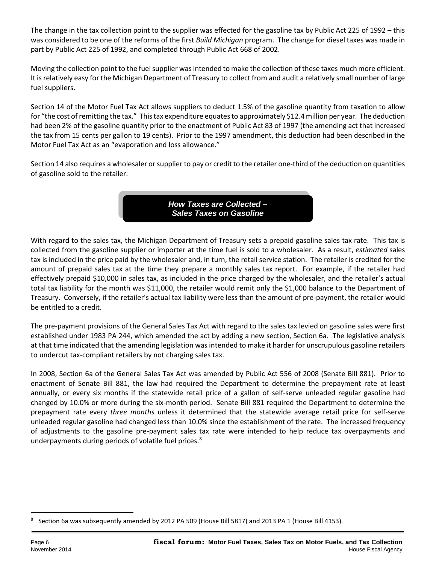The change in the tax collection point to the supplier was effected for the gasoline tax by Public Act 225 of 1992 – this was considered to be one of the reforms of the first *Build Michigan* program. The change for diesel taxes was made in part by Public Act 225 of 1992, and completed through Public Act 668 of 2002.

Moving the collection point to the fuel supplier was intended to make the collection of these taxes much more efficient. It is relatively easy for the Michigan Department of Treasury to collect from and audit a relatively small number of large fuel suppliers.

Section 14 of the Motor Fuel Tax Act allows suppliers to deduct 1.5% of the gasoline quantity from taxation to allow for "the cost of remitting the tax." This tax expenditure equates to approximately \$12.4 million per year. The deduction had been 2% of the gasoline quantity prior to the enactment of Public Act 83 of 1997 (the amending act that increased the tax from 15 cents per gallon to 19 cents). Prior to the 1997 amendment, this deduction had been described in the Motor Fuel Tax Act as an "evaporation and loss allowance."

Section 14 also requires a wholesaler or supplier to pay or credit to the retailer one-third of the deduction on quantities of gasoline sold to the retailer.

> *How Taxes are Collected – Sales Taxes on Gasoline*

With regard to the sales tax, the Michigan Department of Treasury sets a prepaid gasoline sales tax rate. This tax is collected from the gasoline supplier or importer at the time fuel is sold to a wholesaler. As a result, *estimated* sales tax is included in the price paid by the wholesaler and, in turn, the retail service station. The retailer is credited for the amount of prepaid sales tax at the time they prepare a monthly sales tax report. For example, if the retailer had effectively prepaid \$10,000 in sales tax, as included in the price charged by the wholesaler, and the retailer's actual total tax liability for the month was \$11,000, the retailer would remit only the \$1,000 balance to the Department of Treasury. Conversely, if the retailer's actual tax liability were less than the amount of pre-payment, the retailer would be entitled to a credit.

The pre-payment provisions of the General Sales Tax Act with regard to the sales tax levied on gasoline sales were first established under 1983 PA 244, which amended the act by adding a new section, Section 6a. The legislative analysis at that time indicated that the amending legislation was intended to make it harder for unscrupulous gasoline retailers to undercut tax-compliant retailers by not charging sales tax.

In 2008, Section 6a of the General Sales Tax Act was amended by Public Act 556 of 2008 (Senate Bill 881). Prior to enactment of Senate Bill 881, the law had required the Department to determine the prepayment rate at least annually, or every six months if the statewide retail price of a gallon of self-serve unleaded regular gasoline had changed by 10.0% or more during the six-month period. Senate Bill 881 required the Department to determine the prepayment rate every *three months* unless it determined that the statewide average retail price for self-serve unleaded regular gasoline had changed less than 10.0% since the establishment of the rate. The increased frequency of adjustments to the gasoline pre-payment sales tax rate were intended to help reduce tax overpayments and underpayments during periods of volatile fuel prices.<sup>[8](#page-5-0)</sup>

<span id="page-5-0"></span><sup>8</sup> Section 6a was subsequently amended by 2012 PA 509 (House Bill 5817) and 2013 PA 1 (House Bill 4153).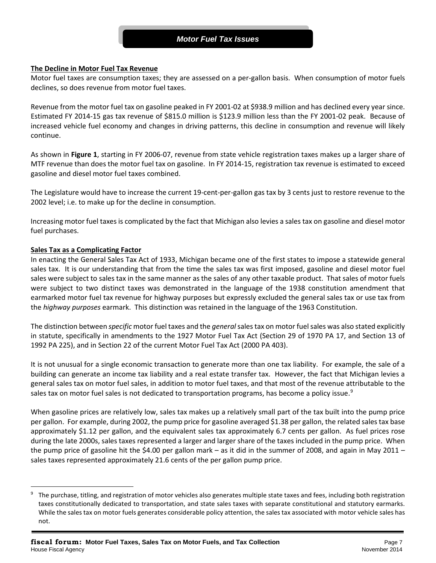## *Motor Fuel Tax Issues*

#### **The Decline in Motor Fuel Tax Revenue**

Motor fuel taxes are consumption taxes; they are assessed on a per-gallon basis. When consumption of motor fuels declines, so does revenue from motor fuel taxes.

Revenue from the motor fuel tax on gasoline peaked in FY 2001-02 at \$938.9 million and has declined every year since. Estimated FY 2014-15 gas tax revenue of \$815.0 million is \$123.9 million less than the FY 2001-02 peak. Because of increased vehicle fuel economy and changes in driving patterns, this decline in consumption and revenue will likely continue.

As shown in **Figure 1**, starting in FY 2006-07, revenue from state vehicle registration taxes makes up a larger share of MTF revenue than does the motor fuel tax on gasoline. In FY 2014-15, registration tax revenue is estimated to exceed gasoline and diesel motor fuel taxes combined.

The Legislature would have to increase the current 19-cent-per-gallon gas tax by 3 cents just to restore revenue to the 2002 level; i.e. to make up for the decline in consumption.

Increasing motor fuel taxes is complicated by the fact that Michigan also levies a sales tax on gasoline and diesel motor fuel purchases.

#### **Sales Tax as a Complicating Factor**

 $\overline{a}$ 

In enacting the General Sales Tax Act of 1933, Michigan became one of the first states to impose a statewide general sales tax. It is our understanding that from the time the sales tax was first imposed, gasoline and diesel motor fuel sales were subject to sales tax in the same manner as the sales of any other taxable product. That sales of motor fuels were subject to two distinct taxes was demonstrated in the language of the 1938 constitution amendment that earmarked motor fuel tax revenue for highway purposes but expressly excluded the general sales tax or use tax from the *highway purposes* earmark. This distinction was retained in the language of the 1963 Constitution.

The distinction between *specific* motor fuel taxes and the *general*sales tax on motor fuel sales was also stated explicitly in statute, specifically in amendments to the 1927 Motor Fuel Tax Act (Section 29 of 1970 PA 17, and Section 13 of 1992 PA 225), and in Section 22 of the current Motor Fuel Tax Act (2000 PA 403).

It is not unusual for a single economic transaction to generate more than one tax liability. For example, the sale of a building can generate an income tax liability and a real estate transfer tax. However, the fact that Michigan levies a general sales tax on motor fuel sales, in addition to motor fuel taxes, and that most of the revenue attributable to the sales tax on motor fuel sales is not dedicated to transportation programs, has become a policy issue.<sup>[9](#page-6-0)</sup>

When gasoline prices are relatively low, sales tax makes up a relatively small part of the tax built into the pump price per gallon. For example, during 2002, the pump price for gasoline averaged \$1.38 per gallon, the related sales tax base approximately \$1.12 per gallon, and the equivalent sales tax approximately 6.7 cents per gallon. As fuel prices rose during the late 2000s, sales taxes represented a larger and larger share of the taxes included in the pump price. When the pump price of gasoline hit the \$4.00 per gallon mark – as it did in the summer of 2008, and again in May 2011 – sales taxes represented approximately 21.6 cents of the per gallon pump price.

<span id="page-6-0"></span>The purchase, titling, and registration of motor vehicles also generates multiple state taxes and fees, including both registration taxes constitutionally dedicated to transportation, and state sales taxes with separate constitutional and statutory earmarks. While the sales tax on motor fuels generates considerable policy attention, the sales tax associated with motor vehicle sales has not.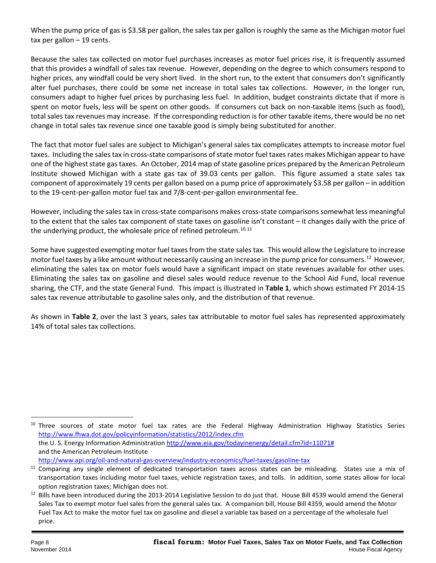When the pump price of gas is \$3.58 per gallon, the sales tax per gallon is roughly the same as the Michigan motor fuel tax per gallon – 19 cents.

Because the sales tax collected on motor fuel purchases increases as motor fuel prices rise, it is frequently assumed that this provides a windfall of sales tax revenue. However, depending on the degree to which consumers respond to higher prices, any windfall could be very short lived. In the short run, to the extent that consumers don't significantly alter fuel purchases, there could be some net increase in total sales tax collections. However, in the longer run, consumers adapt to higher fuel prices by purchasing less fuel. In addition, budget constraints dictate that if more is spent on motor fuels, less will be spent on other goods. If consumers cut back on non-taxable items (such as food), total sales tax revenues may increase. If the corresponding reduction is for other taxable items, there would be no net change in total sales tax revenue since one taxable good is simply being substituted for another.

The fact that motor fuel sales are subject to Michigan's general sales tax complicates attempts to increase motor fuel taxes. Including the sales tax in cross-state comparisons of state motor fuel taxes rates makes Michigan appear to have one of the highest state gas taxes. An October, 2014 map of state gasoline prices prepared by the American Petroleum Institute showed Michigan with a state gas tax of 39.03 cents per gallon. This figure assumed a state sales tax component of approximately 19 cents per gallon based on a pump price of approximately \$3.58 per gallon – in addition to the 19-cent-per-gallon motor fuel tax and 7/8-cent-per-gallon environmental fee.

However, including the sales tax in cross-state comparisons makes cross-state comparisons somewhat less meaningful to the extent that the sales tax component of state taxes on gasoline isn't constant – it changes daily with the price of the underlying product, the wholesale price of refined petroleum.<sup>[10,](#page-7-0)[11](#page-7-1)</sup>

Some have suggested exempting motor fuel taxes from the state sales tax. This would allow the Legislature to increase motor fuel taxes by a like amount without necessarily causing an increase in the pump price for consumers.<sup>12</sup> However, eliminating the sales tax on motor fuels would have a significant impact on state revenues available for other uses. Eliminating the sales tax on gasoline and diesel sales would reduce revenue to the School Aid Fund, local revenue sharing, the CTF, and the state General Fund. This impact is illustrated in **Table 1**, which shows estimated FY 2014-15 sales tax revenue attributable to gasoline sales only, and the distribution of that revenue.

As shown in **Table 2**, over the last 3 years, sales tax attributable to motor fuel sales has represented approximately 14% of total sales tax collections.

<span id="page-7-0"></span><sup>&</sup>lt;sup>10</sup> Three sources of state motor fuel tax rates are the Federal Highway Administration Highway Statistics Series <http://www.fhwa.dot.gov/policyinformation/statistics/2012/index.cfm> the U. S. Energy Information Administration [http://www.eia.gov/todayinenergy/detail.cfm?id=11071#](http://www.eia.gov/todayinenergy/detail.cfm?id=11071) and the American Petroleum Institute <http://www.api.org/oil-and-natural-gas-overview/industry-economics/fuel-taxes/gasoline-tax>

<span id="page-7-1"></span><sup>&</sup>lt;sup>11</sup> Comparing any single element of dedicated transportation taxes across states can be misleading. States use a mix of transportation taxes including motor fuel taxes, vehicle registration taxes, and tolls. In addition, some states allow for local option registration taxes; Michigan does not.

<span id="page-7-2"></span><sup>&</sup>lt;sup>12</sup> Bills have been introduced during the 2013-2014 Legislative Session to do just that. House Bill 4539 would amend the General Sales Tax to exempt motor fuel sales from the general sales tax. A companion bill, House Bill 4359, would amend the Motor Fuel Tax Act to make the motor fuel tax on gasoline and diesel a variable tax based on a percentage of the wholesale fuel price.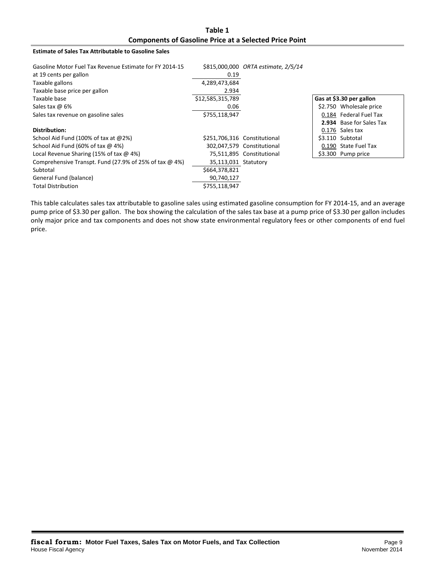**Table 1 Components of Gasoline Price at a Selected Price Point**

#### **Estimate of Sales Tax Attributable to Gasoline Sales**

| Gasoline Motor Fuel Tax Revenue Estimate for FY 2014-15<br>at 19 cents per gallon | 0.19                 | \$815,000,000 ORTA estimate, 2/5/14 |                          |
|-----------------------------------------------------------------------------------|----------------------|-------------------------------------|--------------------------|
| Taxable gallons                                                                   | 4,289,473,684        |                                     |                          |
| Taxable base price per gallon                                                     | 2.934                |                                     |                          |
| Taxable base                                                                      | \$12,585,315,789     |                                     | Gas at \$3.30 per gallon |
| Sales tax $\omega$ 6%                                                             | 0.06                 |                                     | \$2.750 Wholesale price  |
| Sales tax revenue on gasoline sales                                               | \$755,118,947        |                                     | 0.184 Federal Fuel Tax   |
|                                                                                   |                      |                                     | 2.934 Base for Sales Tax |
| Distribution:                                                                     |                      |                                     | 0.176 Sales tax          |
| School Aid Fund (100% of tax at $@2\%$ )                                          |                      | \$251,706,316 Constitutional        | \$3.110 Subtotal         |
| School Aid Fund (60% of tax $\omega$ 4%)                                          |                      | 302,047,579 Constitutional          | 0.190 State Fuel Tax     |
| Local Revenue Sharing (15% of tax $\omega$ 4%)                                    |                      | 75,511,895 Constitutional           | \$3.300 Pump price       |
| Comprehensive Transpt. Fund (27.9% of 25% of tax $\omega$ 4%)                     | 35,113,031 Statutory |                                     |                          |
| Subtotal                                                                          | \$664,378,821        |                                     |                          |
| General Fund (balance)                                                            | 90,740,127           |                                     |                          |
| <b>Total Distribution</b>                                                         | \$755,118,947        |                                     |                          |

This table calculates sales tax attributable to gasoline sales using estimated gasoline consumption for FY 2014-15, and an average pump price of \$3.30 per gallon. The box showing the calculation of the sales tax base at a pump price of \$3.30 per gallon includes only major price and tax components and does not show state environmental regulatory fees or other components of end fuel price.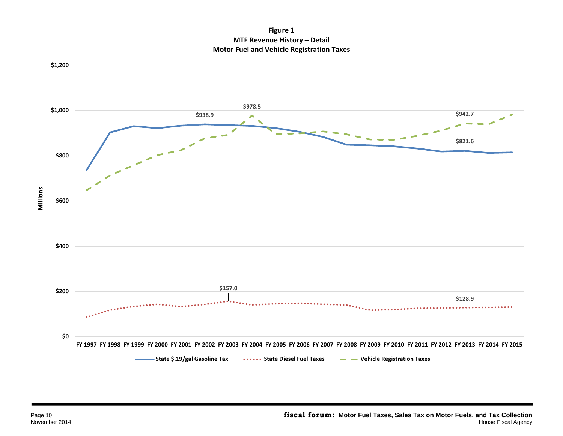**Figure 1 MTF Revenue History – Detail Motor Fuel and Vehicle Registration Taxes**

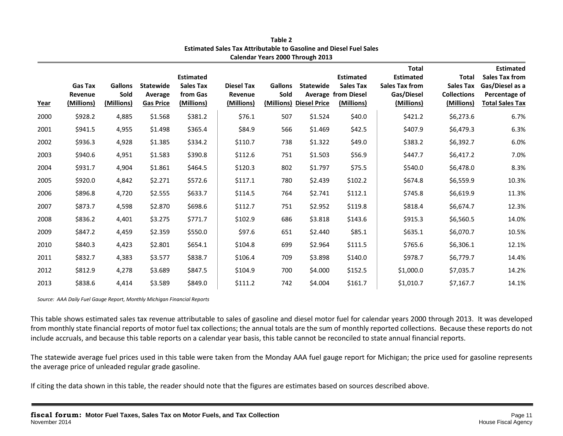| Year | <b>Gas Tax</b><br>Revenue<br>(Millions) | <b>Gallons</b><br>Sold<br>(Millions) | <b>Statewide</b><br>Average<br><b>Gas Price</b> | <b>Estimated</b><br><b>Sales Tax</b><br>from Gas<br>(Millions) | <b>Diesel Tax</b><br>Revenue<br>(Millions) | <b>Gallons</b><br>Sold | <b>Statewide</b><br>(Millions) Diesel Price | <b>Estimated</b><br><b>Sales Tax</b><br><b>Average from Diesel</b><br>(Millions) | <b>Total</b><br><b>Estimated</b><br><b>Sales Tax from</b><br>Gas/Diesel<br>(Millions) | <b>Total</b><br><b>Sales Tax</b><br><b>Collections</b><br>(Millions) | <b>Estimated</b><br><b>Sales Tax from</b><br>Gas/Diesel as a<br>Percentage of<br><b>Total Sales Tax</b> |
|------|-----------------------------------------|--------------------------------------|-------------------------------------------------|----------------------------------------------------------------|--------------------------------------------|------------------------|---------------------------------------------|----------------------------------------------------------------------------------|---------------------------------------------------------------------------------------|----------------------------------------------------------------------|---------------------------------------------------------------------------------------------------------|
| 2000 | \$928.2                                 | 4,885                                | \$1.568                                         | \$381.2                                                        | \$76.1                                     | 507                    | \$1.524                                     | \$40.0                                                                           | \$421.2                                                                               | \$6,273.6                                                            | 6.7%                                                                                                    |
| 2001 | \$941.5                                 | 4,955                                | \$1.498                                         | \$365.4                                                        | \$84.9                                     | 566                    | \$1.469                                     | \$42.5                                                                           | \$407.9                                                                               | \$6,479.3                                                            | 6.3%                                                                                                    |
| 2002 | \$936.3                                 | 4,928                                | \$1.385                                         | \$334.2                                                        | \$110.7                                    | 738                    | \$1.322                                     | \$49.0                                                                           | \$383.2                                                                               | \$6,392.7                                                            | 6.0%                                                                                                    |
| 2003 | \$940.6                                 | 4,951                                | \$1.583                                         | \$390.8                                                        | \$112.6                                    | 751                    | \$1.503                                     | \$56.9                                                                           | \$447.7                                                                               | \$6,417.2                                                            | 7.0%                                                                                                    |
| 2004 | \$931.7                                 | 4,904                                | \$1.861                                         | \$464.5                                                        | \$120.3                                    | 802                    | \$1.797                                     | \$75.5                                                                           | \$540.0                                                                               | \$6,478.0                                                            | 8.3%                                                                                                    |
| 2005 | \$920.0                                 | 4,842                                | \$2.271                                         | \$572.6                                                        | \$117.1                                    | 780                    | \$2.439                                     | \$102.2                                                                          | \$674.8                                                                               | \$6,559.9                                                            | 10.3%                                                                                                   |
| 2006 | \$896.8                                 | 4,720                                | \$2.555                                         | \$633.7                                                        | \$114.5                                    | 764                    | \$2.741                                     | \$112.1                                                                          | \$745.8                                                                               | \$6,619.9                                                            | 11.3%                                                                                                   |
| 2007 | \$873.7                                 | 4,598                                | \$2.870                                         | \$698.6                                                        | \$112.7                                    | 751                    | \$2.952                                     | \$119.8                                                                          | \$818.4                                                                               | \$6,674.7                                                            | 12.3%                                                                                                   |
| 2008 | \$836.2                                 | 4,401                                | \$3.275                                         | \$771.7                                                        | \$102.9                                    | 686                    | \$3.818                                     | \$143.6                                                                          | \$915.3                                                                               | \$6,560.5                                                            | 14.0%                                                                                                   |
| 2009 | \$847.2                                 | 4,459                                | \$2.359                                         | \$550.0                                                        | \$97.6                                     | 651                    | \$2.440                                     | \$85.1                                                                           | \$635.1                                                                               | \$6,070.7                                                            | 10.5%                                                                                                   |
| 2010 | \$840.3                                 | 4,423                                | \$2.801                                         | \$654.1                                                        | \$104.8                                    | 699                    | \$2.964                                     | \$111.5                                                                          | \$765.6                                                                               | \$6,306.1                                                            | 12.1%                                                                                                   |
| 2011 | \$832.7                                 | 4,383                                | \$3.577                                         | \$838.7                                                        | \$106.4                                    | 709                    | \$3.898                                     | \$140.0                                                                          | \$978.7                                                                               | \$6,779.7                                                            | 14.4%                                                                                                   |
| 2012 | \$812.9                                 | 4,278                                | \$3.689                                         | \$847.5                                                        | \$104.9                                    | 700                    | \$4.000                                     | \$152.5                                                                          | \$1,000.0                                                                             | \$7,035.7                                                            | 14.2%                                                                                                   |
| 2013 | \$838.6                                 | 4,414                                | \$3.589                                         | \$849.0                                                        | \$111.2                                    | 742                    | \$4.004                                     | \$161.7                                                                          | \$1,010.7                                                                             | \$7,167.7                                                            | 14.1%                                                                                                   |

**Table 2 Estimated Sales Tax Attributable to Gasoline and Diesel Fuel Sales Calendar Years 2000 Through 2013**

*Source: AAA Daily Fuel Gauge Report, Monthly Michigan Financial Reports*

This table shows estimated sales tax revenue attributable to sales of gasoline and diesel motor fuel for calendar years 2000 through 2013. It was developed from monthly state financial reports of motor fuel tax collections; the annual totals are the sum of monthly reported collections. Because these reports do not include accruals, and because this table reports on a calendar year basis, this table cannot be reconciled to state annual financial reports.

The statewide average fuel prices used in this table were taken from the Monday AAA fuel gauge report for Michigan; the price used for gasoline represents the average price of unleaded regular grade gasoline.

If citing the data shown in this table, the reader should note that the figures are estimates based on sources described above.